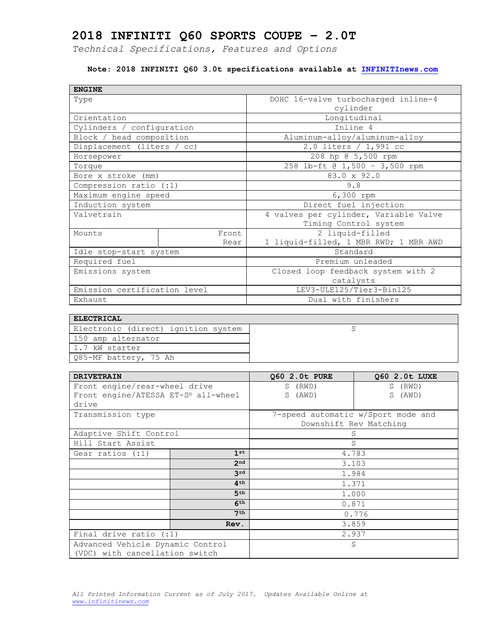*Technical Specifications, Features and Options*

#### **Note: 2018 INFINITI Q60 3.0t specifications available at [INFINITInews.com](http://www.infinitinews.com/)**

| <b>ENGINE</b>                |       |                                       |  |
|------------------------------|-------|---------------------------------------|--|
| Type                         |       | DOHC 16-valve turbocharged inline-4   |  |
|                              |       | cylinder                              |  |
| Orientation                  |       | Longitudinal                          |  |
| Cylinders / configuration    |       | Inline 4                              |  |
| Block / head composition     |       | Aluminum-alloy/aluminum-alloy         |  |
| Displacement (liters / cc)   |       | 2.0 liters / 1,991 cc                 |  |
| Horsepower                   |       | 208 hp @ 5,500 rpm                    |  |
| Torque                       |       | 258 lb-ft @ 1,500 - 3,500 rpm         |  |
| Bore x stroke (mm)           |       | 83.0 x 92.0                           |  |
| Compression ratio (:1)       |       | 9.8                                   |  |
| Maximum engine speed         |       | 6,300 rpm                             |  |
| Induction system             |       | Direct fuel injection                 |  |
| Valvetrain                   |       | 4 valves per cylinder, Variable Valve |  |
|                              |       | Timing Control system                 |  |
| Mounts                       | Front | 2 liquid-filled                       |  |
|                              | Rear  | 1 liquid-filled, 1 MBR RWD; 1 MBR AWD |  |
| Idle stop-start system       |       | Standard                              |  |
| Required fuel                |       | Premium unleaded                      |  |
| Emissions system             |       | Closed loop feedback system with 2    |  |
|                              |       | catalysts                             |  |
| Emission certification level |       | LEV3-ULE125/Tier3-Bin125              |  |
| Exhaust                      |       | Dual with finishers                   |  |

| ELECTRICAL                          |  |
|-------------------------------------|--|
| Electronic (direct) ignition system |  |
| 150 amp alternator                  |  |
| 1.7 kW starter                      |  |
| Q85-MF battery, 75 Ah               |  |

| <b>DRIVETRAIN</b>                   |                 | 060 2.0t PURE                      | 060 2.0t LUXE          |
|-------------------------------------|-----------------|------------------------------------|------------------------|
| Front engine/rear-wheel drive       |                 | S (RWD)                            | S (RWD)                |
| Front engine/ATESSA ET-S® all-wheel |                 | (AWD)<br>S                         | (AWD)<br>S             |
| drive                               |                 |                                    |                        |
| Transmission type                   |                 | 7-speed automatic w/Sport mode and |                        |
|                                     |                 |                                    | Downshift Rev Matching |
| Adaptive Shift Control              |                 | S                                  |                        |
| Hill Start Assist                   |                 |                                    | S                      |
| Gear ratios $(:1)$                  | 1st             | 4.783                              |                        |
|                                     | 2 <sub>nd</sub> |                                    | 3.103                  |
|                                     | 3rd             |                                    | 1.984                  |
|                                     | 4 <sup>th</sup> | 1.371                              |                        |
|                                     | 5 <sup>th</sup> | 1.000                              |                        |
|                                     | 6 <sup>th</sup> | 0.871                              |                        |
| 7 <sup>th</sup>                     |                 | 0.776                              |                        |
|                                     | Rev.            |                                    | 3.859                  |
| Final drive ratio (:1)              |                 | 2.937                              |                        |
| Advanced Vehicle Dynamic Control    |                 | S                                  |                        |
| (VDC) with cancellation switch      |                 |                                    |                        |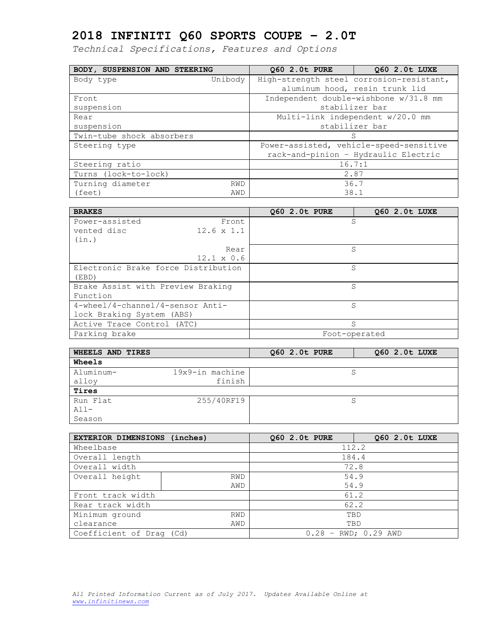| BODY, SUSPENSION AND STEERING |            | 060 2.0t PURE                            | 060 2.0t LUXE                           |
|-------------------------------|------------|------------------------------------------|-----------------------------------------|
| Body type                     | Unibody    | High-strength steel corrosion-resistant, |                                         |
|                               |            |                                          | aluminum hood, resin trunk lid          |
| Front                         |            |                                          | Independent double-wishbone w/31.8 mm   |
| suspension                    |            |                                          | stabilizer bar                          |
| Rear                          |            |                                          | Multi-link independent w/20.0 mm        |
| suspension                    |            | stabilizer bar                           |                                         |
| Twin-tube shock absorbers     |            |                                          | S                                       |
| Steering type                 |            |                                          | Power-assisted, vehicle-speed-sensitive |
|                               |            |                                          | rack-and-pinion - Hydraulic Electric    |
| Steering ratio                |            | 16.7:1                                   |                                         |
| Turns (lock-to-lock)          |            |                                          | 2.87                                    |
| Turning diameter              | <b>RWD</b> |                                          | 36.7                                    |
| (feet)                        | AWD        | 38.1                                     |                                         |

| <b>BRAKES</b>                       | 060 2.0t PURE | 060 2.0t LUXE |
|-------------------------------------|---------------|---------------|
| Power-assisted<br>Front             |               | S             |
| $12.6 \times 1.1$<br>vented disc    |               |               |
| (in.)                               |               |               |
| Rear                                |               | S             |
| $12.1 \times 0.6$                   |               |               |
| Electronic Brake force Distribution | S             |               |
| (EBD)                               |               |               |
| Brake Assist with Preview Braking   |               | S             |
| Function                            |               |               |
| 4-wheel/4-channel/4-sensor Anti-    |               | S             |
| lock Braking System (ABS)           |               |               |
| Active Trace Control (ATC)          |               | S             |
| Parking brake                       |               | Foot-operated |

| WHEELS AND TIRES |                 | 060 2.0t PURE | 060 2.0t LUXE |
|------------------|-----------------|---------------|---------------|
| <b>Wheels</b>    |                 |               |               |
| Aluminum-        | 19x9-in machine |               | S             |
| alloy            | finish          |               |               |
| Tires            |                 |               |               |
| Run Flat         | 255/40RF19      |               | S             |
| $A11-$           |                 |               |               |
| Season           |                 |               |               |

| EXTERIOR DIMENSIONS (inches) |     | 060 2.0t PURE          | 060 2.0t LUXE |
|------------------------------|-----|------------------------|---------------|
| Wheelbase                    |     | 112.2                  |               |
| Overall length               |     | 184.4                  |               |
| Overall width                |     | 72.8                   |               |
| Overall height               | RWD | 54.9                   |               |
|                              | AWD | 54.9                   |               |
| Front track width            |     | 61.2                   |               |
| Rear track width             |     | 62.2                   |               |
| Minimum ground               | RWD | TBD                    |               |
| clearance                    | AWD | TBD                    |               |
| Coefficient of Drag (Cd)     |     | $0.28 - RWD: 0.29 AND$ |               |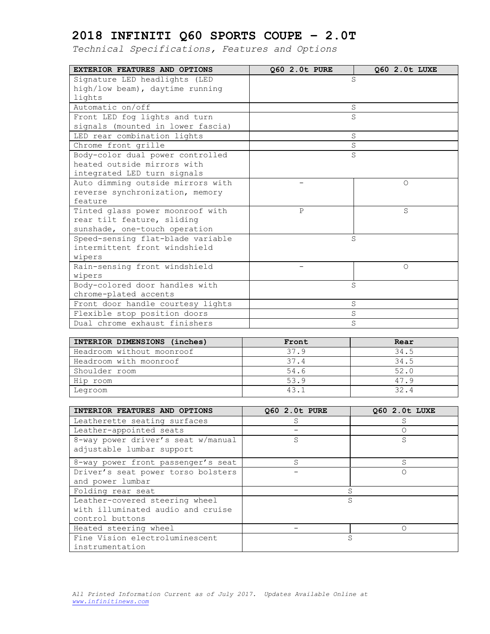| EXTERIOR FEATURES AND OPTIONS     | Q60 2.0t PURE | Q60 2.0t LUXE |
|-----------------------------------|---------------|---------------|
| Signature LED headlights (LED     |               | S             |
| high/low beam), daytime running   |               |               |
| lights                            |               |               |
| Automatic on/off                  |               | S             |
| Front LED fog lights and turn     |               | S             |
| signals (mounted in lower fascia) |               |               |
| LED rear combination lights       |               | S             |
| Chrome front grille               |               | S             |
| Body-color dual power controlled  |               | S             |
| heated outside mirrors with       |               |               |
| integrated LED turn signals       |               |               |
| Auto dimming outside mirrors with |               | $\Omega$      |
| reverse synchronization, memory   |               |               |
| feature                           |               |               |
| Tinted glass power moonroof with  | $\mathsf{P}$  | S             |
| rear tilt feature, sliding        |               |               |
| sunshade, one-touch operation     |               |               |
| Speed-sensing flat-blade variable |               | S             |
| intermittent front windshield     |               |               |
| wipers                            |               |               |
| Rain-sensing front windshield     |               | $\bigcirc$    |
| wipers                            |               |               |
| Body-colored door handles with    |               | S             |
| chrome-plated accents             |               |               |
| Front door handle courtesy lights |               | S             |
| Flexible stop position doors      |               | S             |
| Dual chrome exhaust finishers     |               | S             |
|                                   |               |               |
| INTERIOR DIMENSIONS (inches)      | Front         | Rear          |

| INTERIOR DIMENSIONS (inches) | Front | Rear |
|------------------------------|-------|------|
| Headroom without moonroof    | 37.9  | 34.5 |
| Headroom with moonroof       | 37.4  | 34.5 |
| Shoulder room                | 54.6  | 52.0 |
| Hip room                     | 53.9  | 47.9 |
| Legroom                      | 43.1  | 32.4 |

| INTERIOR FEATURES AND OPTIONS                                                          | 060 2.0t PURE | Q60 2.0t LUXE |
|----------------------------------------------------------------------------------------|---------------|---------------|
| Leatherette seating surfaces                                                           | S             | S             |
| Leather-appointed seats                                                                |               | ∩             |
| 8-way power driver's seat w/manual<br>adjustable lumbar support                        | S             | S             |
| 8-way power front passenger's seat                                                     | S             | S             |
| Driver's seat power torso bolsters<br>and power lumbar                                 |               | ∩             |
| Folding rear seat                                                                      |               | S             |
| Leather-covered steering wheel<br>with illuminated audio and cruise<br>control buttons |               | S             |
| Heated steering wheel                                                                  |               |               |
| Fine Vision electroluminescent<br>instrumentation                                      |               | S             |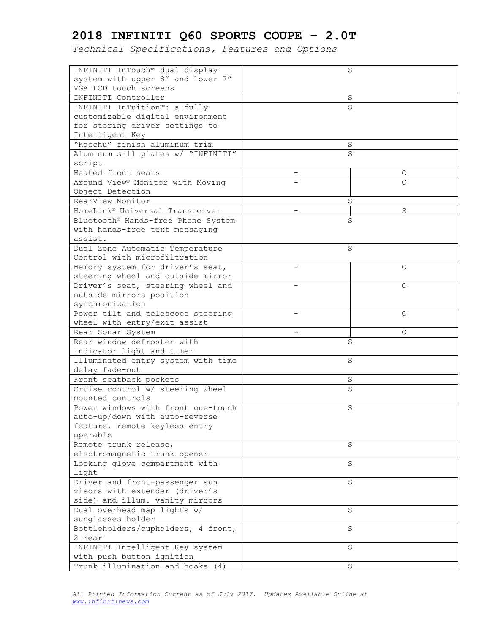| INFINITI InTouch <sup>™</sup> dual display   | S        |
|----------------------------------------------|----------|
|                                              |          |
| system with upper 8" and lower 7"            |          |
| VGA LCD touch screens                        |          |
| INFINITI Controller                          | S        |
| INFINITI InTuition™: a fully                 | S        |
| customizable digital environment             |          |
| for storing driver settings to               |          |
| Intelligent Key                              |          |
| "Kacchu" finish aluminum trim                | S        |
| Aluminum sill plates w/ "INFINITI"           | S        |
| script                                       |          |
| Heated front seats                           | О        |
|                                              |          |
| Around View <sup>®</sup> Monitor with Moving | Ω        |
| Object Detection                             |          |
| RearView Monitor                             | S        |
| HomeLink <sup>®</sup> Universal Transceiver  | S        |
| Bluetooth® Hands-free Phone System           | S        |
| with hands-free text messaging               |          |
| assist.                                      |          |
| Dual Zone Automatic Temperature              | S        |
| Control with microfiltration                 |          |
| Memory system for driver's seat,             | 0        |
| steering wheel and outside mirror            |          |
|                                              |          |
| Driver's seat, steering wheel and            | 0        |
| outside mirrors position                     |          |
| synchronization                              |          |
| Power tilt and telescope steering            | $\Omega$ |
| wheel with entry/exit assist                 |          |
| Rear Sonar System                            | $\Omega$ |
| Rear window defroster with                   | S        |
| indicator light and timer                    |          |
| Illuminated entry system with time           | S        |
| delay fade-out                               |          |
| Front seatback pockets                       | S        |
| Cruise control w/ steering wheel             | S        |
| mounted controls                             |          |
|                                              |          |
| Power windows with front one-touch           | S        |
| auto-up/down with auto-reverse               |          |
| feature, remote keyless entry                |          |
| operable                                     |          |
| Remote trunk release,                        | S        |
| electromagnetic trunk opener                 |          |
| Locking glove compartment with               | S        |
| light                                        |          |
| Driver and front-passenger sun               | S        |
| visors with extender (driver's               |          |
| side) and illum. vanity mirrors              |          |
| Dual overhead map lights w/                  | S        |
| sunglasses holder                            |          |
|                                              |          |
| Bottleholders/cupholders, 4 front,           | $\rm S$  |
| 2 rear                                       |          |
| INFINITI Intelligent Key system              | S        |
| with push button ignition                    |          |
| Trunk illumination and hooks (4)             | $\rm S$  |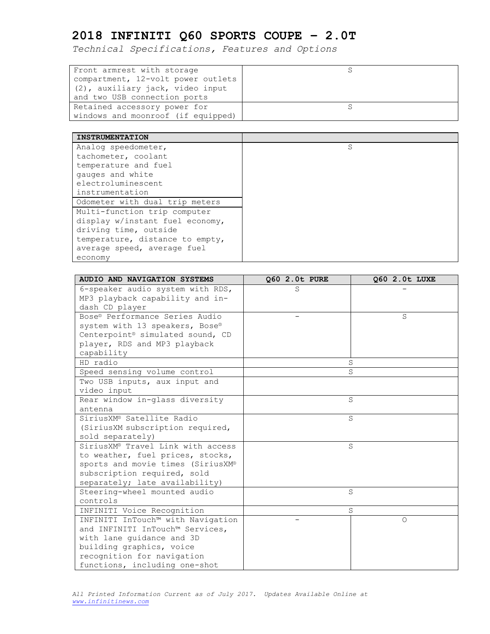| Front armrest with storage         |  |
|------------------------------------|--|
| compartment, 12-volt power outlets |  |
| (2), auxiliary jack, video input   |  |
| and two USB connection ports       |  |
| Retained accessory power for       |  |
| windows and moonroof (if equipped) |  |

| <b>INSTRUMENTATION</b>          |   |
|---------------------------------|---|
| Analog speedometer,             | S |
| tachometer, coolant             |   |
| temperature and fuel            |   |
| gauges and white                |   |
| electroluminescent              |   |
| instrumentation                 |   |
| Odometer with dual trip meters  |   |
| Multi-function trip computer    |   |
| display w/instant fuel economy, |   |
| driving time, outside           |   |
| temperature, distance to empty, |   |
| average speed, average fuel     |   |
| economy                         |   |

| AUDIO AND NAVIGATION SYSTEMS      | Q60 2.0t PURE | Q60 2.0t LUXE |
|-----------------------------------|---------------|---------------|
| 6-speaker audio system with RDS,  | S             |               |
| MP3 playback capability and in-   |               |               |
| dash CD player                    |               |               |
| Bose® Performance Series Audio    |               | S             |
| system with 13 speakers, Bose®    |               |               |
| Centerpoint® simulated sound, CD  |               |               |
| player, RDS and MP3 playback      |               |               |
| capability                        |               |               |
| HD radio                          | S             |               |
| Speed sensing volume control      | S             |               |
| Two USB inputs, aux input and     |               |               |
| video input                       |               |               |
| Rear window in-glass diversity    | S             |               |
| antenna                           |               |               |
| SiriusXM® Satellite Radio         | S             |               |
| (SiriusXM subscription required,  |               |               |
| sold separately)                  |               |               |
| SiriusXM® Travel Link with access | S             |               |
| to weather, fuel prices, stocks,  |               |               |
| sports and movie times (SiriusXM® |               |               |
| subscription required, sold       |               |               |
| separately; late availability)    |               |               |
| Steering-wheel mounted audio      | S             |               |
| controls                          |               |               |
| INFINITI Voice Recognition        | S             |               |
| INFINITI InTouch™ with Navigation |               | $\Omega$      |
| and INFINITI InTouch™ Services,   |               |               |
| with lane quidance and 3D         |               |               |
| building graphics, voice          |               |               |
| recognition for navigation        |               |               |
| functions, including one-shot     |               |               |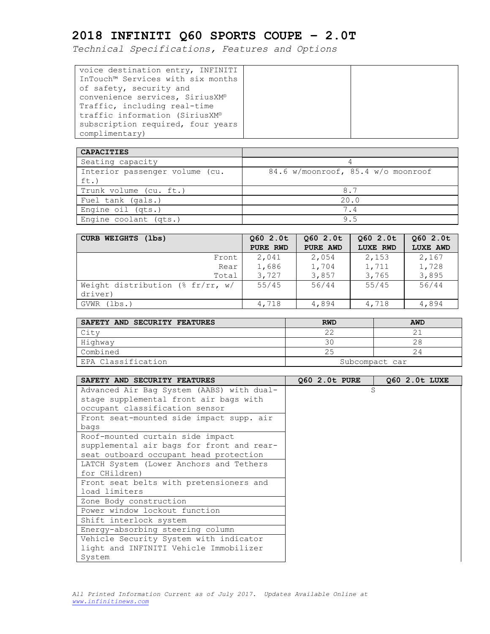| voice destination entry, INFINITI |  |
|-----------------------------------|--|
| InTouch™ Services with six months |  |
| of safety, security and           |  |
| convenience services, SiriusXM®   |  |
| Traffic, including real-time      |  |
| traffic information (SiriusXM®    |  |
| subscription required, four years |  |
| complimentary)                    |  |
|                                   |  |

| <b>CAPACITIES</b>              |                                    |
|--------------------------------|------------------------------------|
| Seating capacity               |                                    |
| Interior passenger volume (cu. | 84.6 w/moonroof, 85.4 w/o moonroof |
| $ft.$ )                        |                                    |
| Trunk volume (cu. ft.)         | 8.7                                |
| Fuel tank (gals.)              | 20.0                               |
| Engine oil (qts.)              | 74                                 |
| Engine coolant (qts.)          | 9.5                                |

| CURB WEIGHTS (lbs)                             | Q60 2.0t | 060 2.0t | 060 2.0t        | 060 2.0t        |
|------------------------------------------------|----------|----------|-----------------|-----------------|
|                                                | PURE RWD | PURE AWD | <b>LUXE RWD</b> | <b>LUXE AWD</b> |
| Front                                          | 2,041    | 2,054    | 2,153           | 2,167           |
| Rear                                           | 1,686    | 1,704    | 1,711           | 1,728           |
| Total                                          | 3,727    | 3,857    | 3,765           | 3,895           |
| Weight distribution (% $fr/rr$ , w/<br>driver) | 55/45    | 56/44    | 55/45           | 56/44           |
| (lbs.)<br>GVWR                                 | 4,718    | 4,894    | 4,718           | 4,894           |

| SAFETY AND SECURITY FEATURES | <b>RWD</b>     | <b>AWD</b> |
|------------------------------|----------------|------------|
| City                         | $\cap$         |            |
| Highway                      |                | 28         |
| Combined                     |                |            |
| EPA Classification           | Subcompact car |            |

| SAFETY AND SECURITY FEATURES              | 060 2.0t PURE | 060 2.0t LUXE |
|-------------------------------------------|---------------|---------------|
| Advanced Air Bag System (AABS) with dual- | S             |               |
| stage supplemental front air bags with    |               |               |
| occupant classification sensor            |               |               |
| Front seat-mounted side impact supp. air  |               |               |
| bags                                      |               |               |
| Roof-mounted curtain side impact          |               |               |
| supplemental air bags for front and rear- |               |               |
| seat outboard occupant head protection    |               |               |
| LATCH System (Lower Anchors and Tethers   |               |               |
| for CHildren)                             |               |               |
| Front seat belts with pretensioners and   |               |               |
| load limiters                             |               |               |
| Zone Body construction                    |               |               |
| Power window lockout function             |               |               |
| Shift interlock system                    |               |               |
| Energy-absorbing steering column          |               |               |
| Vehicle Security System with indicator    |               |               |
| light and INFINITI Vehicle Immobilizer    |               |               |
| System                                    |               |               |